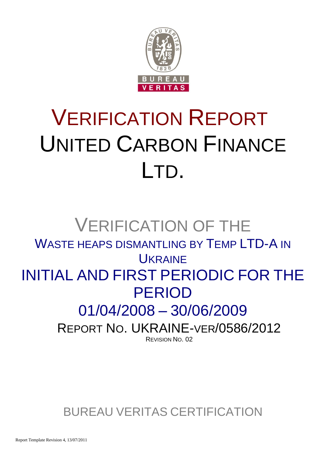

# VERIFICATION REPORT UNITED CARBON FINANCE LTD.

## VERIFICATION OF THE WASTE HEAPS DISMANTLING BY TEMP LTD-A IN **UKRAINE** INITIAL AND FIRST PERIODIC FOR THE PERIOD 01/04/2008 – 30/06/2009 REPORT NO. UKRAINE-VER/0586/2012 REVISION NO. 02

BUREAU VERITAS CERTIFICATION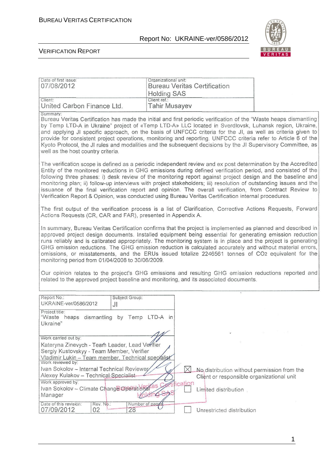Date of first issue: <br> <u>Organizational unit:</u>

07/08/2012 Bureau Veritas Certification

#### Report No: UKRAINE-ver/0586/2012



#### VERIFICATION REPORT

|                                                                                                                                                                                                                                                                                                                                                                                                                                                                                                                                                                                                                                                                                                                             | <b>Holding SAS</b>                   |                                                                                          |  |
|-----------------------------------------------------------------------------------------------------------------------------------------------------------------------------------------------------------------------------------------------------------------------------------------------------------------------------------------------------------------------------------------------------------------------------------------------------------------------------------------------------------------------------------------------------------------------------------------------------------------------------------------------------------------------------------------------------------------------------|--------------------------------------|------------------------------------------------------------------------------------------|--|
| Client:<br>United Carbon Finance Ltd.                                                                                                                                                                                                                                                                                                                                                                                                                                                                                                                                                                                                                                                                                       | Client ref.:<br><b>Tahir Musayev</b> |                                                                                          |  |
| Summary:<br>Bureau Veritas Certification has made the initial and first periodic verification of the "Waste heaps dismantling<br>by Temp LTD-A in Ukraine" project of «Temp LTD-A» LLC located in Sverdlovsk, Luhansk region, Ukraine,<br>and applying JI specific approach, on the basis of UNFCCC criteria for the JI, as well as criteria given to<br>provide for consistent project operations, monitoring and reporting. UNFCCC criteria refer to Article 6 of the<br>Kyoto Protocol, the JI rules and modalities and the subsequent decisions by the JI Supervisory Committee, as<br>well as the host country criteria.                                                                                               |                                      |                                                                                          |  |
| The verification scope is defined as a periodic independent review and ex post determination by the Accredited<br>Entity of the monitored reductions in GHG emissions during defined verification period, and consisted of the<br>following three phases: i) desk review of the monitoring report against project design and the baseline and<br>monitoring plan; ii) follow-up interviews with project stakeholders; iii) resolution of outstanding issues and the<br>issuance of the final verification report and opinion. The overall verification, from Contract Review to<br>Verification Report & Opinion, was conducted using Bureau Veritas Certification internal procedures.                                     |                                      |                                                                                          |  |
| The first output of the verification process is a list of Clarification, Corrective Actions Requests, Forward<br>Actions Requests (CR, CAR and FAR), presented in Appendix A.                                                                                                                                                                                                                                                                                                                                                                                                                                                                                                                                               |                                      |                                                                                          |  |
| In summary, Bureau Veritas Certification confirms that the project is implemented as planned and described in<br>approved project design documents. Installed equipment being essential for generating emission reduction<br>runs reliably and is calibrated appropriately. The monitoring system is in place and the project is generating<br>GHG emission reductions. The GHG emission reduction is calculated accurately and without material errors,<br>omissions, or misstatements, and the ERUs issued totalize 2246561 tonnes of CO2 equivalent for the<br>monitoring period from 01/04/2008 to 30/06/2009.<br>Our opinion relates to the project's GHG emissions and resulting GHG emission reductions reported and |                                      |                                                                                          |  |
| related to the approved project baseline and monitoring, and its associated documents.                                                                                                                                                                                                                                                                                                                                                                                                                                                                                                                                                                                                                                      |                                      |                                                                                          |  |
| Subject Group:<br>Report No.:<br>UKRAINE-ver/0586/2012<br>JI<br>Project title:<br>"Waste heaps dismantling by Temp LTD-A in                                                                                                                                                                                                                                                                                                                                                                                                                                                                                                                                                                                                 |                                      |                                                                                          |  |
| Ukraine"                                                                                                                                                                                                                                                                                                                                                                                                                                                                                                                                                                                                                                                                                                                    | $\Lambda$                            |                                                                                          |  |
| Work carried out by:<br>Kateryna Zinevych - Team Leader, Lead Verifier<br>Sergiy Kustovskyy - Team Member, Verifier<br>Vladimir Lukin - Team member, Technical specialist<br>Work reviewed by:                                                                                                                                                                                                                                                                                                                                                                                                                                                                                                                              |                                      |                                                                                          |  |
| Ivan Sokolov - Internal Technical Reviewer<br>Alexey Kulakov - Technical Specialist<br>Work approved by:                                                                                                                                                                                                                                                                                                                                                                                                                                                                                                                                                                                                                    | fification                           | No distribution without permission from the<br>Client or responsible organizational unit |  |
| Ivan Sokolov - Climate Change Operational<br>Manager                                                                                                                                                                                                                                                                                                                                                                                                                                                                                                                                                                                                                                                                        |                                      | Limited distribution                                                                     |  |
| Date of this revision:<br>Number of pages<br>Rev. No.:<br>28<br>07/09/2012<br>02                                                                                                                                                                                                                                                                                                                                                                                                                                                                                                                                                                                                                                            |                                      | Unrestricted distribution                                                                |  |

1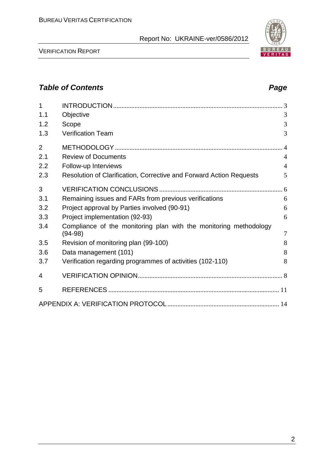VERIFICATION REPORT

| 1<br>1.1       | Objective                                                                      | 3              |
|----------------|--------------------------------------------------------------------------------|----------------|
| 1.2            | Scope                                                                          | 3              |
| 1.3            | <b>Verification Team</b>                                                       | 3              |
| $\overline{2}$ |                                                                                | $\overline{4}$ |
| 2.1            | <b>Review of Documents</b>                                                     | $\overline{4}$ |
| 2.2            | Follow-up Interviews                                                           | $\overline{4}$ |
| 2.3            | Resolution of Clarification, Corrective and Forward Action Requests            | 5              |
| 3              |                                                                                |                |
| 3.1            | Remaining issues and FARs from previous verifications                          | 6              |
| 3.2            | Project approval by Parties involved (90-91)                                   | 6              |
| 3.3            | Project implementation (92-93)                                                 | 6              |
| 3.4            | Compliance of the monitoring plan with the monitoring methodology<br>$(94-98)$ | $\overline{7}$ |
| 3.5            | Revision of monitoring plan (99-100)                                           | 8              |
| 3.6            | Data management (101)                                                          | 8              |
| 3.7            | Verification regarding programmes of activities (102-110)                      | 8              |
| 4              |                                                                                |                |
| 5              |                                                                                |                |
|                |                                                                                |                |

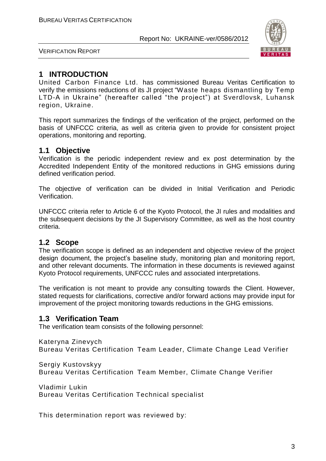

VERIFICATION REPORT

#### **1 INTRODUCTION**

United Carbon Finance Ltd. has commissioned Bureau Veritas Certification to verify the emissions reductions of its JI project "Waste heaps dismantling by Temp LTD-A in Ukraine" (hereafter called "the project") at Sverdlovsk, Luhansk region, Ukraine.

This report summarizes the findings of the verification of the project, performed on the basis of UNFCCC criteria, as well as criteria given to provide for consistent project operations, monitoring and reporting.

#### **1.1 Objective**

Verification is the periodic independent review and ex post determination by the Accredited Independent Entity of the monitored reductions in GHG emissions during defined verification period.

The objective of verification can be divided in Initial Verification and Periodic Verification.

UNFCCC criteria refer to Article 6 of the Kyoto Protocol, the JI rules and modalities and the subsequent decisions by the JI Supervisory Committee, as well as the host country criteria.

#### **1.2 Scope**

The verification scope is defined as an independent and objective review of the project design document, the project's baseline study, monitoring plan and monitoring report, and other relevant documents. The information in these documents is reviewed against Kyoto Protocol requirements, UNFCCC rules and associated interpretations.

The verification is not meant to provide any consulting towards the Client. However, stated requests for clarifications, corrective and/or forward actions may provide input for improvement of the project monitoring towards reductions in the GHG emissions.

#### **1.3 Verification Team**

The verification team consists of the following personnel:

Kateryna Zinevych

Bureau Veritas Certification Team Leader, Climate Change Lead Verifier

Sergiy Kustovskyy

Bureau Veritas Certification Team Member, Climate Change Verifier

Vladimir Lukin Bureau Veritas Certification Technical specialist

This determination report was reviewed by: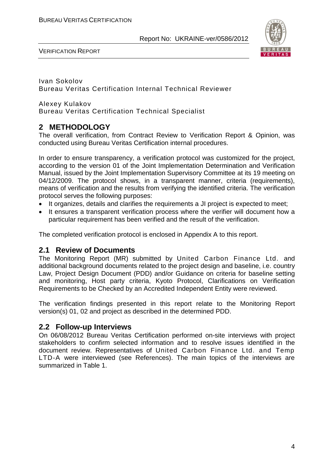

VERIFICATION REPORT

Ivan Sokolov Bureau Veritas Certification Internal Technical Reviewer

Alexey Kulakov Bureau Veritas Certification Technical Specialist

#### **2 METHODOLOGY**

The overall verification, from Contract Review to Verification Report & Opinion, was conducted using Bureau Veritas Certification internal procedures.

In order to ensure transparency, a verification protocol was customized for the project, according to the version 01 of the Joint Implementation Determination and Verification Manual, issued by the Joint Implementation Supervisory Committee at its 19 meeting on 04/12/2009. The protocol shows, in a transparent manner, criteria (requirements), means of verification and the results from verifying the identified criteria. The verification protocol serves the following purposes:

- It organizes, details and clarifies the requirements a JI project is expected to meet;
- It ensures a transparent verification process where the verifier will document how a particular requirement has been verified and the result of the verification.

The completed verification protocol is enclosed in Appendix A to this report.

#### **2.1 Review of Documents**

The Monitoring Report (MR) submitted by United Carbon Finance Ltd. and additional background documents related to the project design and baseline, i.e. country Law, Project Design Document (PDD) and/or Guidance on criteria for baseline setting and monitoring, Host party criteria, Kyoto Protocol, Clarifications on Verification Requirements to be Checked by an Accredited Independent Entity were reviewed.

The verification findings presented in this report relate to the Monitoring Report version(s) 01, 02 and project as described in the determined PDD.

#### **2.2 Follow-up Interviews**

On 06/08/2012 Bureau Veritas Certification performed on-site interviews with project stakeholders to confirm selected information and to resolve issues identified in the document review. Representatives of United Carbon Finance Ltd. and Temp LTD-A were interviewed (see References). The main topics of the interviews are summarized in Table 1.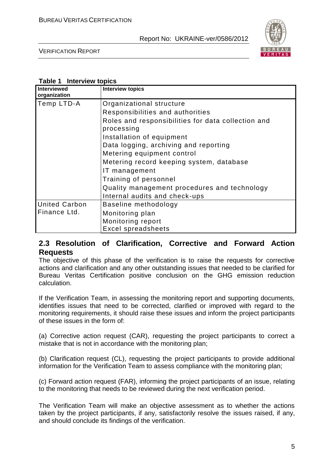

VERIFICATION REPORT

#### **Table 1 Interview topics**

| Interviewed<br>organization | <b>Interview topics</b>                                          |
|-----------------------------|------------------------------------------------------------------|
| Temp LTD-A                  | Organizational structure                                         |
|                             | Responsibilities and authorities                                 |
|                             | Roles and responsibilities for data collection and<br>processing |
|                             | Installation of equipment                                        |
|                             | Data logging, archiving and reporting                            |
|                             | Metering equipment control                                       |
|                             | Metering record keeping system, database                         |
|                             | IT management                                                    |
|                             | Training of personnel                                            |
|                             | Quality management procedures and technology                     |
|                             | Internal audits and check-ups                                    |
| <b>United Carbon</b>        | Baseline methodology                                             |
| Finance Ltd.                | Monitoring plan                                                  |
|                             | Monitoring report                                                |
|                             | <b>Excel spreadsheets</b>                                        |

#### **2.3 Resolution of Clarification, Corrective and Forward Action Requests**

The objective of this phase of the verification is to raise the requests for corrective actions and clarification and any other outstanding issues that needed to be clarified for Bureau Veritas Certification positive conclusion on the GHG emission reduction calculation.

If the Verification Team, in assessing the monitoring report and supporting documents, identifies issues that need to be corrected, clarified or improved with regard to the monitoring requirements, it should raise these issues and inform the project participants of these issues in the form of:

(a) Corrective action request (CAR), requesting the project participants to correct a mistake that is not in accordance with the monitoring plan;

(b) Clarification request (CL), requesting the project participants to provide additional information for the Verification Team to assess compliance with the monitoring plan;

(c) Forward action request (FAR), informing the project participants of an issue, relating to the monitoring that needs to be reviewed during the next verification period.

The Verification Team will make an objective assessment as to whether the actions taken by the project participants, if any, satisfactorily resolve the issues raised, if any, and should conclude its findings of the verification.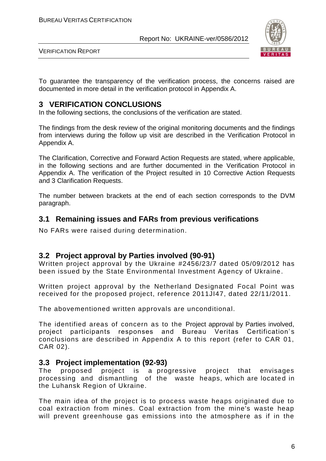

VERIFICATION REPORT

To guarantee the transparency of the verification process, the concerns raised are documented in more detail in the verification protocol in Appendix A.

#### **3 VERIFICATION CONCLUSIONS**

In the following sections, the conclusions of the verification are stated.

The findings from the desk review of the original monitoring documents and the findings from interviews during the follow up visit are described in the Verification Protocol in Appendix A.

The Clarification, Corrective and Forward Action Requests are stated, where applicable, in the following sections and are further documented in the Verification Protocol in Appendix A. The verification of the Project resulted in 10 Corrective Action Requests and 3 Clarification Requests.

The number between brackets at the end of each section corresponds to the DVM paragraph.

#### **3.1 Remaining issues and FARs from previous verifications**

No FARs were raised during determination.

#### **3.2 Project approval by Parties involved (90-91)**

Written project approval by the Ukraine #2456/23/7 dated 05/09/2012 has been issued by the State Environmental Investment Agency of Ukraine.

Written project approval by the Netherland Designated Focal Point was received for the proposed project, reference 2011JI47, dated 22/11/2011.

The abovementioned written approvals are unconditional.

The identified areas of concern as to the Project approval by Parties involved, project participants responses and Bureau Veritas Certification' s conclusions are described in Appendix A to this report (refer to CAR 01, CAR 02).

#### **3.3 Project implementation (92-93)**

The proposed project is a progressive project that envisages processing and dismantling of the waste heaps, which are located in the Luhansk Region of Ukraine.

The main idea of the project is to process waste heaps originated due to coal extraction from mines. Coal extraction from the mine's waste heap will prevent greenhouse gas emissions into the atmosphere as if in the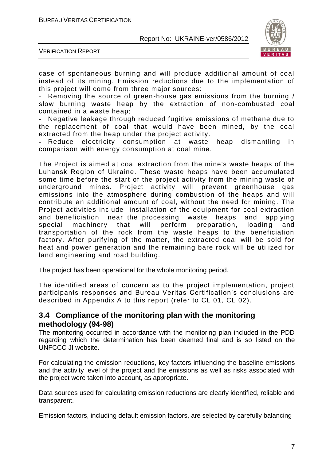

VERIFICATION REPORT

case of spontaneous burning and will produce additional amount of coal instead of its mining. Emission reductions due to the implementation of this project will come from three major sources:

Removing the source of green-house gas emissions from the burning / slow burning waste heap by the extraction of non -combusted coal contained in a waste heap;

Negative leakage through reduced fugitive emissions of methane due to the replacement of coal that would have been mined, by the coal extracted from the heap under the project activity.

Reduce electricity consumption at waste heap dismantling in comparison with energy consumption at coal mine.

The Project is aimed at coal extraction from the mine's waste heaps of the Luhansk Region of Ukraine. These waste heaps have been accumulated some time before the start of the project activity from the mining waste of underground mines. Project activity will prevent greenhouse gas emissions into the atmosphere during combustion of the heaps and will contribute an additional amount of coal, without the need for mining. The Project activities include installation of the equipment for coal extraction and beneficiation near the processing waste heaps and applying special machinery that will perform preparation, loading and transportation of the rock from the waste heaps to the beneficiation factory. After purifying of the matter, the extracted coal will be sold for heat and power generation and the remaining bare rock will be utilized for land engineering and road building.

The project has been operational for the whole monitoring period.

The identified areas of concern as to the project implementation, project participants responses and Bureau Veritas Certification's conclusions are described in Appendix A to this report (refer to CL 01, CL 02).

#### **3.4 Compliance of the monitoring plan with the monitoring methodology (94-98)**

The monitoring occurred in accordance with the monitoring plan included in the PDD regarding which the determination has been deemed final and is so listed on the UNFCCC JI website.

For calculating the emission reductions, key factors influencing the baseline emissions and the activity level of the project and the emissions as well as risks associated with the project were taken into account, as appropriate.

Data sources used for calculating emission reductions are clearly identified, reliable and transparent.

Emission factors, including default emission factors, are selected by carefully balancing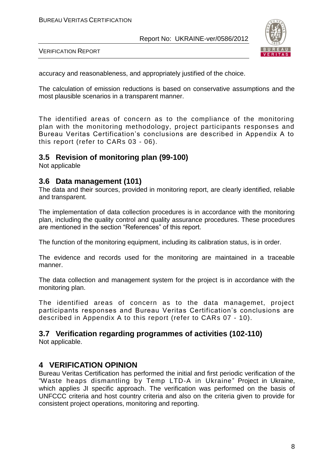

VERIFICATION REPORT

accuracy and reasonableness, and appropriately justified of the choice.

The calculation of emission reductions is based on conservative assumptions and the most plausible scenarios in a transparent manner.

The identified areas of concern as to the compliance of the monitoring plan with the monitoring methodology, project participants responses and Bureau Veritas Certification's conclusions are described in Appendix A to this report (refer to CARs 03 - 06).

#### **3.5 Revision of monitoring plan (99-100)**

Not applicable

#### **3.6 Data management (101)**

The data and their sources, provided in monitoring report, are clearly identified, reliable and transparent.

The implementation of data collection procedures is in accordance with the monitoring plan, including the quality control and quality assurance procedures. These procedures are mentioned in the section "References" of this report.

The function of the monitoring equipment, including its calibration status, is in order.

The evidence and records used for the monitoring are maintained in a traceable manner.

The data collection and management system for the project is in accordance with the monitoring plan.

The identified areas of concern as to the data managemet, project participants responses and Bureau Veritas Certification's conclusions are described in Appendix A to this report (refer to CARs 07 - 10).

#### **3.7 Verification regarding programmes of activities (102-110)**

Not applicable.

#### **4 VERIFICATION OPINION**

Bureau Veritas Certification has performed the initial and first periodic verification of the "Waste heaps dismantling by Temp LTD-A in Ukraine" Project in Ukraine, which applies JI specific approach. The verification was performed on the basis of UNFCCC criteria and host country criteria and also on the criteria given to provide for consistent project operations, monitoring and reporting.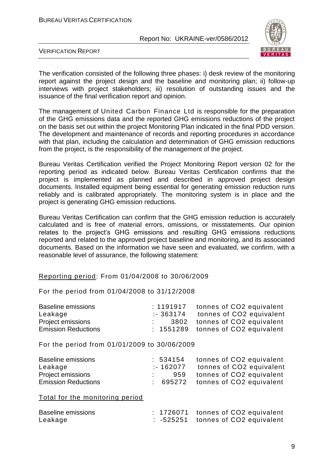

VERIFICATION REPORT

The verification consisted of the following three phases: i) desk review of the monitoring report against the project design and the baseline and monitoring plan; ii) follow-up interviews with project stakeholders; iii) resolution of outstanding issues and the issuance of the final verification report and opinion.

The management of United Carbon Finance Ltd is responsible for the preparation of the GHG emissions data and the reported GHG emissions reductions of the project on the basis set out within the project Monitoring Plan indicated in the final PDD version. The development and maintenance of records and reporting procedures in accordance with that plan, including the calculation and determination of GHG emission reductions from the project, is the responsibility of the management of the project.

Bureau Veritas Certification verified the Project Monitoring Report version 02 for the reporting period as indicated below. Bureau Veritas Certification confirms that the project is implemented as planned and described in approved project design documents. Installed equipment being essential for generating emission reduction runs reliably and is calibrated appropriately. The monitoring system is in place and the project is generating GHG emission reductions.

Bureau Veritas Certification can confirm that the GHG emission reduction is accurately calculated and is free of material errors, omissions, or misstatements. Our opinion relates to the project's GHG emissions and resulting GHG emissions reductions reported and related to the approved project baseline and monitoring, and its associated documents. Based on the information we have seen and evaluated, we confirm, with a reasonable level of assurance, the following statement:

#### Reporting period: From 01/04/2008 to 30/06/2009

For the period from 01/04/2008 to 31/12/2008

| Baseline emissions         | : 1191917 tonnes of CO2 equivalent |
|----------------------------|------------------------------------|
| Leakage                    | :- 363174 tonnes of CO2 equivalent |
| Project emissions          | 3802 tonnes of CO2 equivalent      |
| <b>Emission Reductions</b> | : 1551289 tonnes of CO2 equivalent |

For the period from 01/01/2009 to 30/06/2009

| <b>Baseline emissions</b>  | : 534154  | tonnes of CO2 equivalent          |
|----------------------------|-----------|-----------------------------------|
| Leakage                    | :- 162077 | tonnes of CO2 equivalent          |
| <b>Project emissions</b>   |           | 959 tonnes of CO2 equivalent      |
| <b>Emission Reductions</b> |           | : 695272 tonnes of CO2 equivalent |

Total for the monitoring period

| <b>Baseline emissions</b> |  | : 1726071 tonnes of CO2 equivalent            |
|---------------------------|--|-----------------------------------------------|
| Leakage                   |  | $\therefore$ -525251 tonnes of CO2 equivalent |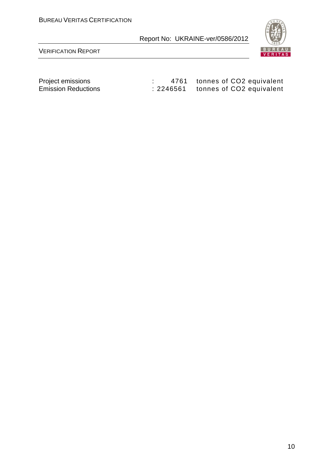

VERIFICATION REPORT

| Project emissions          | 4761 tonnes of CO2 equivalent      |
|----------------------------|------------------------------------|
| <b>Emission Reductions</b> | : 2246561 tonnes of CO2 equivalent |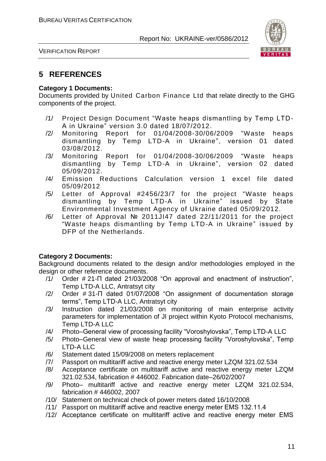

VERIFICATION REPORT

#### **5 REFERENCES**

#### **Category 1 Documents:**

Documents provided by United Carbon Finance Ltd that relate directly to the GHG components of the project.

- /1/ Project Design Document "Waste heaps dismantling by Temp LTD-A in Ukraine" version 3.0 dated 18/07/2012.
- /2/ Monitoring Report for 01/04/2008-30/06/2009 "Waste heaps dismantling by Temp LTD-A in Ukraine", version 01 dated 03/08/2012.
- /3/ Monitoring Report for 01/04/2008-30/06/2009 "Waste heaps dismantling by Temp LTD-A in Ukraine", version 02 dated 05/09/2012.
- /4/ Emission Reductions Calculation version 1 excel file dated 05/09/2012
- /5/ Letter of Approval #2456/23/7 for the project "Waste heaps dismantling by Temp LTD-A in Ukraine" issued by State Environmental Investment Agency of Ukraine dated 05/09/2012.
- /6/ Letter of Approval № 2011JI47 dated 22/11/2011 for the project "Waste heaps dismantling by Temp LTD-A in Ukraine" issued by DFP of the Netherlands.

#### **Category 2 Documents:**

Background documents related to the design and/or methodologies employed in the design or other reference documents.

- /1/ Order # 21-П dated 21/03/2008 "On approval and enactment of instruction", Temp LTD-A LLC, Antratsyt city
- /2/ Order # 31-П dated 01/07/2008 "On assignment of documentation storage terms", Temp LTD-A LLC, Antratsyt city
- /3/ Instruction dated 21/03/2008 on monitoring of main enterprise activity parameters for implementation of JI project within Kyoto Protocol mechanisms, Temp LTD-A LLC
- /4/ Photo–General view of processing facility "Voroshylovska", Temp LTD-A LLC
- /5/ Photo–General view of waste heap processing facility "Voroshylovska", Temp LTD-A LLC
- /6/ Statement dated 15/09/2008 on meters replacement
- /7/ Passport on multitariff active and reactive energy meter LZQM 321.02.534
- /8/ Acceptance certificate on multitariff active and reactive energy meter LZQM 321.02.534, fabrication # 446002. Fabrication date–26/02/2007
- /9/ Photo– multitariff active and reactive energy meter LZQM 321.02.534, fabrication # 446002, 2007
- /10/ Statement on technical check of power meters dated 16/10/2008
- /11/ Passport on multitariff active and reactive energy meter ЕМS 132.11.4
- /12/ Acceptance certificate on multitariff active and reactive energy meter ЕМS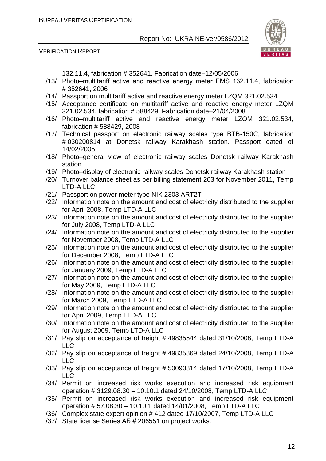VERIFICATION REPORT



132.11.4, fabrication # 352641. Fabrication date–12/05/2006

- /13/ Photo–multitariff active and reactive energy meter ЕМS 132.11.4, fabrication # 352641, 2006
- /14/ Passport on multitariff active and reactive energy meter LZQM 321.02.534
- /15/ Acceptance certificate on multitariff active and reactive energy meter LZQM 321.02.534, fabrication # 588429. Fabrication date–21/04/2008
- /16/ Photo–multitariff active and reactive energy meter LZQM 321.02.534, fabrication # 588429, 2008
- /17/ Technical passport on electronic railway scales type ВТВ-150С, fabrication # 030200814 at Donetsk railway Karakhash station. Passport dated of 14/02/2005
- /18/ Photo–general view of electronic railway scales Donetsk railway Karakhash station
- /19/ Photo–display of electronic railway scales Donetsk railway Karakhash station
- /20/ Turnover balance sheet as per billing statement 203 for November 2011, Temp LTD-A LLC
- /21/ Passport on power meter type NIK 2303 ART2T
- /22/ Information note on the amount and cost of electricity distributed to the supplier for April 2008, Temp LTD-A LLC
- /23/ Information note on the amount and cost of electricity distributed to the supplier for July 2008, Temp LTD-A LLC
- /24/ Information note on the amount and cost of electricity distributed to the supplier for November 2008, Temp LTD-A LLC
- /25/ Information note on the amount and cost of electricity distributed to the supplier for December 2008, Temp LTD-A LLC
- /26/ Information note on the amount and cost of electricity distributed to the supplier for January 2009, Temp LTD-A LLC
- /27/ Information note on the amount and cost of electricity distributed to the supplier for May 2009, Temp LTD-A LLC
- /28/ Information note on the amount and cost of electricity distributed to the supplier for March 2009, Temp LTD-A LLC
- /29/ Information note on the amount and cost of electricity distributed to the supplier for April 2009, Temp LTD-A LLC
- /30/ Information note on the amount and cost of electricity distributed to the supplier for August 2009, Temp LTD-A LLC
- /31/ Pay slip on acceptance of freight # 49835544 dated 31/10/2008, Temp LTD-A LLC
- /32/ Pay slip on acceptance of freight # 49835369 dated 24/10/2008, Temp LTD-A LLC
- /33/ Pay slip on acceptance of freight # 50090314 dated 17/10/2008, Temp LTD-A LLC
- /34/ Permit on increased risk works execution and increased risk equipment operation # 3129.08.30 – 10.10.1 dated 24/10/2008, Temp LTD-A LLC
- /35/ Permit on increased risk works execution and increased risk equipment operation # 57.08.30 – 10.10.1 dated 14/01/2008, Temp LTD-A LLC
- /36/ Complex state expert opinion # 412 dated 17/10/2007, Temp LTD-A LLC
- /37/ State license Series АБ # 206551 on project works.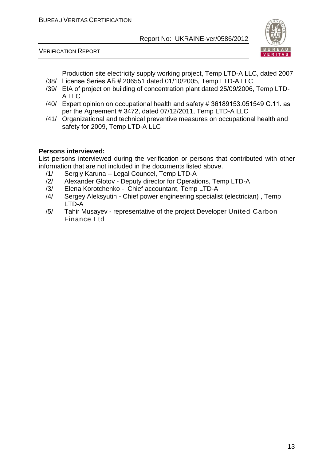

VERIFICATION REPORT

Production site electricity supply working project, Temp LTD-A LLC, dated 2007 /38/ License Series АБ # 206551 dated 01/10/2005, Temp LTD-A LLC

- /39/ EIA of project on building of concentration plant dated 25/09/2006, Temp LTD-A LLC
- /40/ Expert opinion on occupational health and safety # 36189153.051549 С.11. as per the Agreement # 3472, dated 07/12/2011, Temp LTD-A LLC
- /41/ Organizational and technical preventive measures on occupational health and safety for 2009, Temp LTD-A LLC

#### **Persons interviewed:**

List persons interviewed during the verification or persons that contributed with other information that are not included in the documents listed above.

- /1/ Sergiy Karuna Legal Councel, Temp LTD-A
- /2/ Alexander Glotov Deputy director for Operations, Temp LTD-A
- /3/ Elena Korotchenko Chief accountant, Temp LTD-A
- /4/ Sergey Aleksyutin Chief power engineering specialist (electrician) , Temp LTD-A
- /5/ Tahir Musayev representative of the project Developer United Carbon Finance Ltd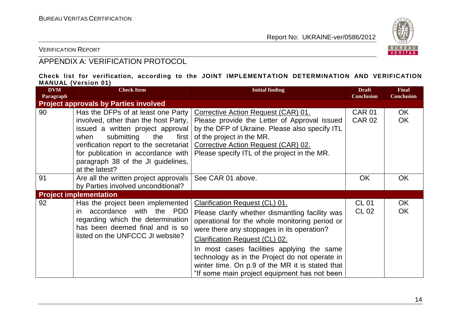

VERIFICATION REPORT

#### APPENDIX A: VERIFICATION PROTOCOL

#### **Check list for verification, according to the JOINT IMPLEMENTATION DETERMINATION AND VERIFICATION MANUAL (Version 01)**

| <b>DVM</b><br>Paragraph | <b>Check Item</b>                                                                                                                                                                                                                                                                             | <b>Initial finding</b>                                                                                                                                                                                                                                                                                                                                                                                                        | <b>Draft</b><br><b>Conclusion</b> | <b>Final</b><br><b>Conclusion</b> |
|-------------------------|-----------------------------------------------------------------------------------------------------------------------------------------------------------------------------------------------------------------------------------------------------------------------------------------------|-------------------------------------------------------------------------------------------------------------------------------------------------------------------------------------------------------------------------------------------------------------------------------------------------------------------------------------------------------------------------------------------------------------------------------|-----------------------------------|-----------------------------------|
|                         | <b>Project approvals by Parties involved</b>                                                                                                                                                                                                                                                  |                                                                                                                                                                                                                                                                                                                                                                                                                               |                                   |                                   |
| 90                      | Has the DFPs of at least one Party<br>involved, other than the host Party,<br>issued a written project approval<br>submitting<br>when<br>the<br>first<br>verification report to the secretariat<br>for publication in accordance with<br>paragraph 38 of the JI guidelines,<br>at the latest? | Corrective Action Request (CAR) 01.<br>Please provide the Letter of Approval issued<br>by the DFP of Ukraine. Please also specify ITL<br>of the project in the MR.<br>Corrective Action Request (CAR) 02.<br>Please specify ITL of the project in the MR.                                                                                                                                                                     | <b>CAR 01</b><br><b>CAR 02</b>    | OK.<br><b>OK</b>                  |
| 91                      | Are all the written project approvals<br>by Parties involved unconditional?                                                                                                                                                                                                                   | See CAR 01 above.                                                                                                                                                                                                                                                                                                                                                                                                             | <b>OK</b>                         | <b>OK</b>                         |
|                         | <b>Project implementation</b>                                                                                                                                                                                                                                                                 |                                                                                                                                                                                                                                                                                                                                                                                                                               |                                   |                                   |
| 92                      | Has the project been implemented<br>accordance with the PDD<br>in.<br>regarding which the determination<br>has been deemed final and is so<br>listed on the UNFCCC JI website?                                                                                                                | Clarification Request (CL) 01.<br>Please clarify whether dismantling facility was<br>operational for the whole monitoring period or<br>were there any stoppages in its operation?<br><b>Clarification Request (CL) 02.</b><br>In most cases facilities applying the same<br>technology as in the Project do not operate in<br>winter time. On p.9 of the MR it is stated that<br>"If some main project equipment has not been | <b>CL 01</b><br>CL 02             | OK<br><b>OK</b>                   |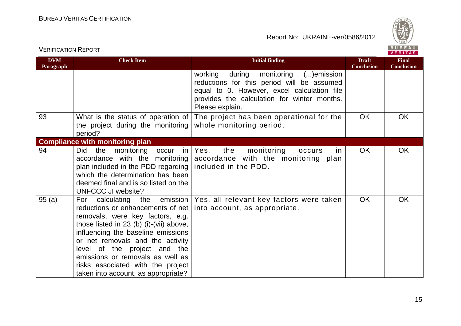

| <b>DVM</b><br>Paragraph | <b>Check Item</b>                                                                                                                                                                                                                                                                                                                                                                 | <b>Initial finding</b>                                                                                                                                                                                 | <b>Draft</b><br><b>Conclusion</b> | <b>Final</b><br><b>Conclusion</b> |
|-------------------------|-----------------------------------------------------------------------------------------------------------------------------------------------------------------------------------------------------------------------------------------------------------------------------------------------------------------------------------------------------------------------------------|--------------------------------------------------------------------------------------------------------------------------------------------------------------------------------------------------------|-----------------------------------|-----------------------------------|
|                         |                                                                                                                                                                                                                                                                                                                                                                                   | working<br>during monitoring ()emission<br>reductions for this period will be assumed<br>equal to 0. However, excel calculation file<br>provides the calculation for winter months.<br>Please explain. |                                   |                                   |
| 93                      | What is the status of operation of<br>the project during the monitoring<br>period?                                                                                                                                                                                                                                                                                                | The project has been operational for the<br>whole monitoring period.                                                                                                                                   | <b>OK</b>                         | <b>OK</b>                         |
|                         | <b>Compliance with monitoring plan</b>                                                                                                                                                                                                                                                                                                                                            |                                                                                                                                                                                                        |                                   |                                   |
| 94                      | the<br>monitoring<br><b>Did</b><br>occur<br>accordance with the monitoring<br>plan included in the PDD regarding   included in the PDD.<br>which the determination has been<br>deemed final and is so listed on the<br><b>UNFCCC JI website?</b>                                                                                                                                  | the<br>monitoring<br>in   Yes,<br>occurs<br><u>in</u><br>accordance with the monitoring plan                                                                                                           | <b>OK</b>                         | <b>OK</b>                         |
| 95(a)                   | calculating the emission<br>For<br>reductions or enhancements of net  <br>removals, were key factors, e.g.<br>those listed in $23$ (b) (i)-(vii) above,<br>influencing the baseline emissions<br>or net removals and the activity<br>level of the project and the<br>emissions or removals as well as<br>risks associated with the project<br>taken into account, as appropriate? | Yes, all relevant key factors were taken<br>into account, as appropriate.                                                                                                                              | <b>OK</b>                         | <b>OK</b>                         |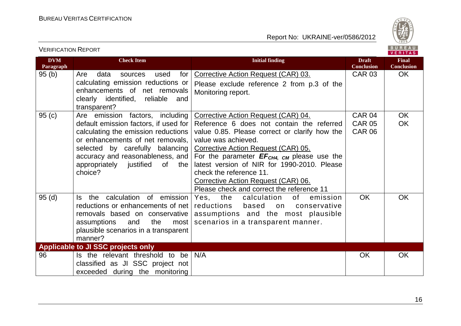

| <b>VERIFICATION REPORT</b> |                                                                                                                                                                                                                                                                            |                                                                                                                                                                                                                                                                                                                                                                                                                  |                                                 | BUREAU<br><b>VERITAS</b>          |
|----------------------------|----------------------------------------------------------------------------------------------------------------------------------------------------------------------------------------------------------------------------------------------------------------------------|------------------------------------------------------------------------------------------------------------------------------------------------------------------------------------------------------------------------------------------------------------------------------------------------------------------------------------------------------------------------------------------------------------------|-------------------------------------------------|-----------------------------------|
| <b>DVM</b><br>Paragraph    | <b>Check Item</b>                                                                                                                                                                                                                                                          | <b>Initial finding</b>                                                                                                                                                                                                                                                                                                                                                                                           | <b>Draft</b><br><b>Conclusion</b>               | <b>Final</b><br><b>Conclusion</b> |
| 95(b)                      | Are<br>for<br>data<br>used<br>sources<br>calculating emission reductions or<br>enhancements of net removals<br>clearly identified, reliable<br>and<br>transparent?                                                                                                         | Corrective Action Request (CAR) 03.<br>Please exclude reference 2 from p.3 of the<br>Monitoring report.                                                                                                                                                                                                                                                                                                          | <b>CAR 03</b>                                   | OK.                               |
| 95(c)                      | Are emission factors, including<br>default emission factors, if used for<br>calculating the emission reductions<br>or enhancements of net removals,<br>selected by carefully balancing<br>accuracy and reasonableness, and<br>appropriately justified of<br>the<br>choice? | Corrective Action Request (CAR) 04.<br>Reference 6 does not contain the referred<br>value 0.85. Please correct or clarify how the<br>value was achieved.<br>Corrective Action Request (CAR) 05.<br>For the parameter $EF_{CH4, CM}$ please use the<br>latest version of NIR for 1990-2010. Please<br>check the reference 11.<br>Corrective Action Request (CAR) 06.<br>Please check and correct the reference 11 | <b>CAR 04</b><br><b>CAR 05</b><br><b>CAR 06</b> | <b>OK</b><br><b>OK</b>            |
| 95(d)                      | the calculation of emission<br>ls l<br>reductions or enhancements of net<br>removals based on conservative<br>assumptions<br>and<br>the<br>most<br>plausible scenarios in a transparent<br>manner?                                                                         | Yes, the<br>calculation<br>of<br>emission<br>reductions<br>based<br>conservative<br>on<br>assumptions and the most plausible<br>scenarios in a transparent manner.                                                                                                                                                                                                                                               | <b>OK</b>                                       | OK                                |
|                            | <b>Applicable to JI SSC projects only</b>                                                                                                                                                                                                                                  |                                                                                                                                                                                                                                                                                                                                                                                                                  |                                                 |                                   |
| 96                         | Is the relevant threshold to be<br>classified as JI SSC project not<br>exceeded during the monitoring                                                                                                                                                                      | N/A                                                                                                                                                                                                                                                                                                                                                                                                              | <b>OK</b>                                       | OK                                |

16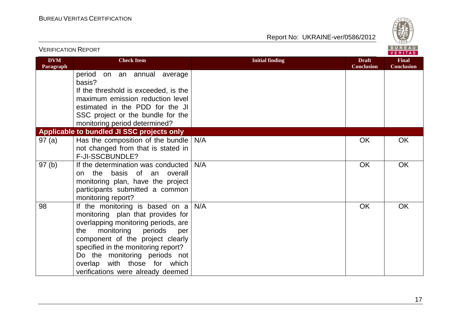

| <u>VERIFICATION KEPORT</u> |                                                                                                                                                                                                                                                                                                                                       |                        |                                   | VERITAS                           |
|----------------------------|---------------------------------------------------------------------------------------------------------------------------------------------------------------------------------------------------------------------------------------------------------------------------------------------------------------------------------------|------------------------|-----------------------------------|-----------------------------------|
| <b>DVM</b><br>Paragraph    | <b>Check Item</b>                                                                                                                                                                                                                                                                                                                     | <b>Initial finding</b> | <b>Draft</b><br><b>Conclusion</b> | <b>Final</b><br><b>Conclusion</b> |
|                            | period<br>on an annual average<br>basis?                                                                                                                                                                                                                                                                                              |                        |                                   |                                   |
|                            | If the threshold is exceeded, is the<br>maximum emission reduction level                                                                                                                                                                                                                                                              |                        |                                   |                                   |
|                            | estimated in the PDD for the JI                                                                                                                                                                                                                                                                                                       |                        |                                   |                                   |
|                            | SSC project or the bundle for the<br>monitoring period determined?                                                                                                                                                                                                                                                                    |                        |                                   |                                   |
|                            | Applicable to bundled JI SSC projects only                                                                                                                                                                                                                                                                                            |                        |                                   |                                   |
| 97(a)                      | Has the composition of the bundle<br>not changed from that is stated in                                                                                                                                                                                                                                                               | N/A                    | OK                                | OK                                |
|                            | F-JI-SSCBUNDLE?                                                                                                                                                                                                                                                                                                                       |                        |                                   |                                   |
| 97(b)                      | If the determination was conducted<br>the basis of an overall<br>on<br>monitoring plan, have the project<br>participants submitted a common<br>monitoring report?                                                                                                                                                                     | N/A                    | OK                                | OK                                |
| 98                         | If the monitoring is based on $a$<br>monitoring plan that provides for<br>overlapping monitoring periods, are<br>monitoring<br>periods<br>the<br>per<br>component of the project clearly<br>specified in the monitoring report?<br>Do the monitoring periods not<br>overlap with those for which<br>verifications were already deemed | N/A                    | OK                                | OK                                |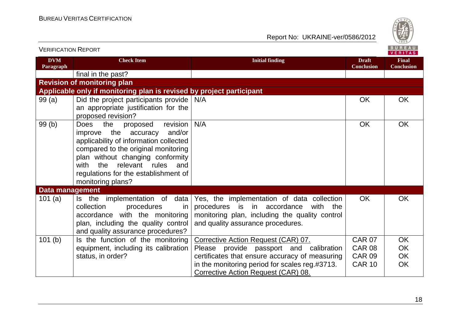

| <b>VERIFICATION REPORT</b> |                                                                                                                                                                                                                                                                                                           |                                                                                                                                                                                    |                                   | BUREAU<br><b>VERITAS</b>          |
|----------------------------|-----------------------------------------------------------------------------------------------------------------------------------------------------------------------------------------------------------------------------------------------------------------------------------------------------------|------------------------------------------------------------------------------------------------------------------------------------------------------------------------------------|-----------------------------------|-----------------------------------|
| <b>DVM</b><br>Paragraph    | <b>Check Item</b>                                                                                                                                                                                                                                                                                         | <b>Initial finding</b>                                                                                                                                                             | <b>Draft</b><br><b>Conclusion</b> | <b>Final</b><br><b>Conclusion</b> |
|                            | final in the past?                                                                                                                                                                                                                                                                                        |                                                                                                                                                                                    |                                   |                                   |
|                            | <b>Revision of monitoring plan</b>                                                                                                                                                                                                                                                                        |                                                                                                                                                                                    |                                   |                                   |
|                            | Applicable only if monitoring plan is revised by project participant                                                                                                                                                                                                                                      |                                                                                                                                                                                    |                                   |                                   |
| 99(a)                      | Did the project participants provide<br>an appropriate justification for the<br>proposed revision?                                                                                                                                                                                                        | N/A                                                                                                                                                                                | <b>OK</b>                         | <b>OK</b>                         |
| 99(b)                      | the<br>revision<br><b>Does</b><br>proposed<br>the accuracy<br>and/or<br>improve<br>applicability of information collected<br>compared to the original monitoring<br>plan without changing conformity<br>the<br>relevant rules<br>and<br>with<br>regulations for the establishment of<br>monitoring plans? | N/A                                                                                                                                                                                | <b>OK</b>                         | <b>OK</b>                         |
| Data management            |                                                                                                                                                                                                                                                                                                           |                                                                                                                                                                                    |                                   |                                   |
| 101 $(a)$                  | Is the implementation of data<br>collection<br>procedures<br>in.<br>accordance with the monitoring<br>plan, including the quality control<br>and quality assurance procedures?                                                                                                                            | Yes, the implementation of data collection<br>procedures is in<br>accordance<br>with<br>the<br>monitoring plan, including the quality control<br>and quality assurance procedures. | <b>OK</b>                         | <b>OK</b>                         |
| 101(b)                     | Is the function of the monitoring                                                                                                                                                                                                                                                                         | Corrective Action Request (CAR) 07.                                                                                                                                                | <b>CAR 07</b>                     | OK                                |
|                            | equipment, including its calibration                                                                                                                                                                                                                                                                      | Please provide passport and calibration                                                                                                                                            | <b>CAR 08</b>                     | OK                                |
|                            | status, in order?                                                                                                                                                                                                                                                                                         | certificates that ensure accuracy of measuring                                                                                                                                     | <b>CAR 09</b>                     | OK                                |
|                            |                                                                                                                                                                                                                                                                                                           | in the monitoring period for scales reg.#3713.                                                                                                                                     | <b>CAR 10</b>                     | OK                                |
|                            |                                                                                                                                                                                                                                                                                                           | Corrective Action Request (CAR) 08.                                                                                                                                                |                                   |                                   |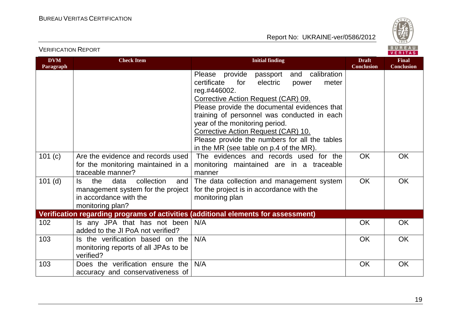

VERIFICATION REPORT

| <b>DVM</b><br>Paragraph | <b>Check Item</b>                                                                                                          | <b>Initial finding</b>                                                                                                                                                                                                                                                                                                                                                                                                    | <b>Draft</b><br><b>Conclusion</b> | <b>Final</b><br><b>Conclusion</b> |
|-------------------------|----------------------------------------------------------------------------------------------------------------------------|---------------------------------------------------------------------------------------------------------------------------------------------------------------------------------------------------------------------------------------------------------------------------------------------------------------------------------------------------------------------------------------------------------------------------|-----------------------------------|-----------------------------------|
|                         |                                                                                                                            | and calibration<br>Please provide passport<br>certificate<br>electric<br>for<br>meter<br>power<br>reg.#446002.<br>Corrective Action Request (CAR) 09.<br>Please provide the documental evidences that<br>training of personnel was conducted in each<br>year of the monitoring period.<br>Corrective Action Request (CAR) 10.<br>Please provide the numbers for all the tables<br>in the MR (see table on p.4 of the MR). |                                   |                                   |
| 101(c)                  | Are the evidence and records used<br>for the monitoring maintained in a<br>traceable manner?                               | The evidences and records used for the<br>monitoring maintained are in a traceable<br>manner                                                                                                                                                                                                                                                                                                                              | <b>OK</b>                         | <b>OK</b>                         |
| $101$ (d)               | the<br>data<br>collection<br>ls.<br>and<br>management system for the project<br>in accordance with the<br>monitoring plan? | The data collection and management system<br>for the project is in accordance with the<br>monitoring plan                                                                                                                                                                                                                                                                                                                 | <b>OK</b>                         | <b>OK</b>                         |
|                         |                                                                                                                            | Verification regarding programs of activities (additional elements for assessment)                                                                                                                                                                                                                                                                                                                                        |                                   |                                   |
| 102                     | Is any JPA that has not been<br>added to the JI PoA not verified?                                                          | N/A                                                                                                                                                                                                                                                                                                                                                                                                                       | <b>OK</b>                         | <b>OK</b>                         |
| 103                     | Is the verification based on the<br>monitoring reports of all JPAs to be<br>verified?                                      | N/A                                                                                                                                                                                                                                                                                                                                                                                                                       | <b>OK</b>                         | <b>OK</b>                         |
| 103                     | Does the verification ensure the<br>accuracy and conservativeness of                                                       | N/A                                                                                                                                                                                                                                                                                                                                                                                                                       | <b>OK</b>                         | OK                                |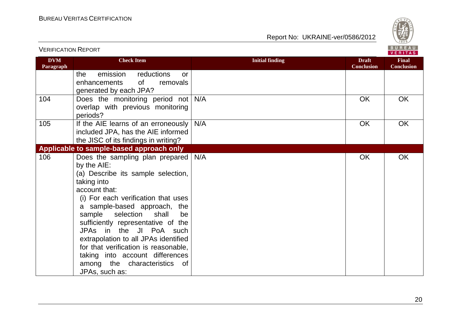

| <b>DVM</b><br>Paragraph | <b>Check Item</b>                                                                                                                                                                                                                                                                                                                                                                                                                                                            | <b>Initial finding</b> | <b>Draft</b><br><b>Conclusion</b> | <b>Final</b><br><b>Conclusion</b> |
|-------------------------|------------------------------------------------------------------------------------------------------------------------------------------------------------------------------------------------------------------------------------------------------------------------------------------------------------------------------------------------------------------------------------------------------------------------------------------------------------------------------|------------------------|-----------------------------------|-----------------------------------|
|                         | emission<br>reductions<br>the<br><b>or</b><br>of<br>enhancements<br>removals<br>generated by each JPA?                                                                                                                                                                                                                                                                                                                                                                       |                        |                                   |                                   |
| 104                     | Does the monitoring period not<br>overlap with previous monitoring<br>periods?                                                                                                                                                                                                                                                                                                                                                                                               | N/A                    | <b>OK</b>                         | <b>OK</b>                         |
| 105                     | If the AIE learns of an erroneously<br>included JPA, has the AIE informed<br>the JISC of its findings in writing?                                                                                                                                                                                                                                                                                                                                                            | N/A                    | <b>OK</b>                         | <b>OK</b>                         |
|                         | Applicable to sample-based approach only                                                                                                                                                                                                                                                                                                                                                                                                                                     |                        |                                   |                                   |
| 106                     | Does the sampling plan prepared<br>by the AIE:<br>(a) Describe its sample selection,<br>taking into<br>account that:<br>(i) For each verification that uses<br>a sample-based approach, the<br>selection<br>sample<br>shall<br>be<br>sufficiently representative of the<br>JPAs in the JI PoA such<br>extrapolation to all JPAs identified<br>for that verification is reasonable,<br>taking into account differences<br>among the characteristics<br>of .<br>JPAs, such as: | N/A                    | OK                                | <b>OK</b>                         |

VERIFICATION REPORT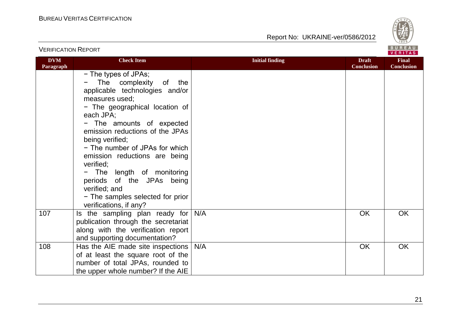

| <b>VERIFICATION REPORT</b> |                                                                                                                                                                                                                                                                                                                                                                                                                                                                     |                        |                                   | BUREAU<br>VERITAS                 |
|----------------------------|---------------------------------------------------------------------------------------------------------------------------------------------------------------------------------------------------------------------------------------------------------------------------------------------------------------------------------------------------------------------------------------------------------------------------------------------------------------------|------------------------|-----------------------------------|-----------------------------------|
| <b>DVM</b><br>Paragraph    | <b>Check Item</b>                                                                                                                                                                                                                                                                                                                                                                                                                                                   | <b>Initial finding</b> | <b>Draft</b><br><b>Conclusion</b> | <b>Final</b><br><b>Conclusion</b> |
|                            | - The types of JPAs;<br>The complexity<br>of<br>the<br>applicable technologies and/or<br>measures used;<br>- The geographical location of<br>each JPA;<br>- The amounts of expected<br>emission reductions of the JPAs<br>being verified;<br>- The number of JPAs for which<br>emission reductions are being<br>verified;<br>- The length of monitoring<br>periods of the JPAs being<br>verified; and<br>- The samples selected for prior<br>verifications, if any? |                        |                                   |                                   |
| 107                        | Is the sampling plan ready for<br>publication through the secretariat<br>along with the verification report<br>and supporting documentation?                                                                                                                                                                                                                                                                                                                        | N/A                    | <b>OK</b>                         | OK                                |
| 108                        | Has the AIE made site inspections  <br>of at least the square root of the<br>number of total JPAs, rounded to<br>the upper whole number? If the AIE                                                                                                                                                                                                                                                                                                                 | N/A                    | OK                                | <b>OK</b>                         |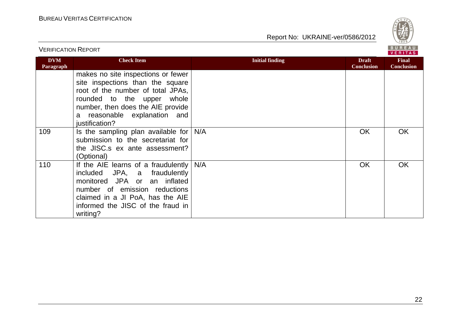

| <b>VERIFICATION REPORT</b> |                                                                                                                                                                                                                                     |                        | BUREAU<br><b>VERITAS</b>          |                                   |
|----------------------------|-------------------------------------------------------------------------------------------------------------------------------------------------------------------------------------------------------------------------------------|------------------------|-----------------------------------|-----------------------------------|
| <b>DVM</b><br>Paragraph    | <b>Check Item</b>                                                                                                                                                                                                                   | <b>Initial finding</b> | <b>Draft</b><br><b>Conclusion</b> | <b>Final</b><br><b>Conclusion</b> |
|                            | makes no site inspections or fewer<br>site inspections than the square<br>root of the number of total JPAs,<br>whole<br>rounded to the upper<br>number, then does the AIE provide<br>a reasonable explanation and<br>justification? |                        |                                   |                                   |
| 109                        | Is the sampling plan available for<br>submission to the secretariat for<br>the JISC.s ex ante assessment?<br>(Optional)                                                                                                             | N/A                    | <b>OK</b>                         | <b>OK</b>                         |
| 110                        | If the AIE learns of a fraudulently<br>included JPA, a fraudulently<br>monitored JPA or an inflated<br>number of emission reductions<br>claimed in a JI PoA, has the AIE<br>informed the JISC of the fraud in<br>writing?           | N/A                    | OK                                | <b>OK</b>                         |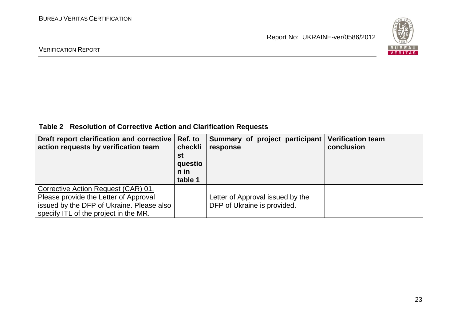

#### VERIFICATION REPORT

**Table 2 Resolution of Corrective Action and Clarification Requests**

| Draft report clarification and corrective   Ref. to<br>action requests by verification team                                                                        | checkli<br>st<br>questio<br>$n$ in<br>table 1 | Summary of project participant<br>response                      | <b>Verification team</b><br>conclusion |
|--------------------------------------------------------------------------------------------------------------------------------------------------------------------|-----------------------------------------------|-----------------------------------------------------------------|----------------------------------------|
| Corrective Action Request (CAR) 01.<br>Please provide the Letter of Approval<br>issued by the DFP of Ukraine. Please also<br>specify ITL of the project in the MR. |                                               | Letter of Approval issued by the<br>DFP of Ukraine is provided. |                                        |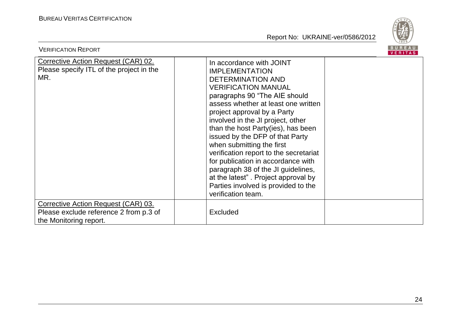

| <b>VERIFICATION REPORT</b>                                                                              |                                                                                                                                                                                                                                                                                                                                                                                                                                                                                                                                                                                         | BUREAU<br><b>VERITAS</b> |
|---------------------------------------------------------------------------------------------------------|-----------------------------------------------------------------------------------------------------------------------------------------------------------------------------------------------------------------------------------------------------------------------------------------------------------------------------------------------------------------------------------------------------------------------------------------------------------------------------------------------------------------------------------------------------------------------------------------|--------------------------|
| <b>Corrective Action Request (CAR) 02.</b><br>Please specify ITL of the project in the<br>MR.           | In accordance with JOINT<br><b>IMPLEMENTATION</b><br><b>DETERMINATION AND</b><br><b>VERIFICATION MANUAL</b><br>paragraphs 90 "The AIE should<br>assess whether at least one written<br>project approval by a Party<br>involved in the JI project, other<br>than the host Party(ies), has been<br>issued by the DFP of that Party<br>when submitting the first<br>verification report to the secretariat<br>for publication in accordance with<br>paragraph 38 of the JI guidelines,<br>at the latest". Project approval by<br>Parties involved is provided to the<br>verification team. |                          |
| Corrective Action Request (CAR) 03.<br>Please exclude reference 2 from p.3 of<br>the Monitoring report. | <b>Excluded</b>                                                                                                                                                                                                                                                                                                                                                                                                                                                                                                                                                                         |                          |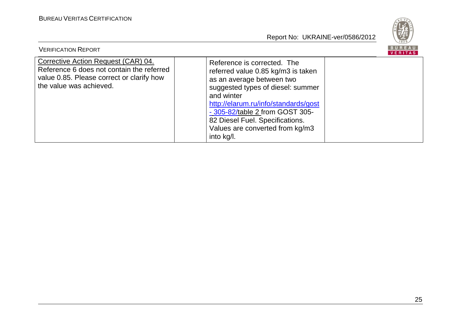

| <b>VERIFICATION REPORT</b>                                                                                                                               |                                                                                                                                                                                                                                                                                                                  | BUREAU<br>VERITAS |
|----------------------------------------------------------------------------------------------------------------------------------------------------------|------------------------------------------------------------------------------------------------------------------------------------------------------------------------------------------------------------------------------------------------------------------------------------------------------------------|-------------------|
| Corrective Action Request (CAR) 04.<br>Reference 6 does not contain the referred<br>value 0.85. Please correct or clarify how<br>the value was achieved. | Reference is corrected. The<br>referred value 0.85 kg/m3 is taken<br>as an average between two<br>suggested types of diesel: summer<br>and winter<br>http://elarum.ru/info/standards/gost<br>- 305-82/table 2 from GOST 305-<br>82 Diesel Fuel. Specifications.<br>Values are converted from kg/m3<br>into kg/l. |                   |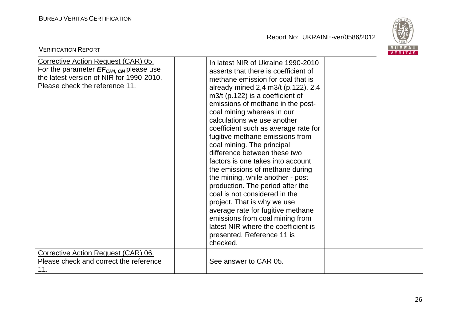

| <b>VERIFICATION REPORT</b>                                                                                                                                              |                                                                                                                                                                                                                                                                                                                                                                                                                                                                                                                                                                                                                                                                                                                                                                                                                  | <b>BUREAU</b><br>VERITAS |
|-------------------------------------------------------------------------------------------------------------------------------------------------------------------------|------------------------------------------------------------------------------------------------------------------------------------------------------------------------------------------------------------------------------------------------------------------------------------------------------------------------------------------------------------------------------------------------------------------------------------------------------------------------------------------------------------------------------------------------------------------------------------------------------------------------------------------------------------------------------------------------------------------------------------------------------------------------------------------------------------------|--------------------------|
| Corrective Action Request (CAR) 05.<br>For the parameter $EF_{CH4, \text{CM}}$ please use<br>the latest version of NIR for 1990-2010.<br>Please check the reference 11. | In latest NIR of Ukraine 1990-2010<br>asserts that there is coefficient of<br>methane emission for coal that is<br>already mined 2,4 m3/t (p.122). 2,4<br>$m3/t$ (p.122) is a coefficient of<br>emissions of methane in the post-<br>coal mining whereas in our<br>calculations we use another<br>coefficient such as average rate for<br>fugitive methane emissions from<br>coal mining. The principal<br>difference between these two<br>factors is one takes into account<br>the emissions of methane during<br>the mining, while another - post<br>production. The period after the<br>coal is not considered in the<br>project. That is why we use<br>average rate for fugitive methane<br>emissions from coal mining from<br>latest NIR where the coefficient is<br>presented. Reference 11 is<br>checked. |                          |
| Corrective Action Request (CAR) 06.<br>Please check and correct the reference<br>11.                                                                                    | See answer to CAR 05.                                                                                                                                                                                                                                                                                                                                                                                                                                                                                                                                                                                                                                                                                                                                                                                            |                          |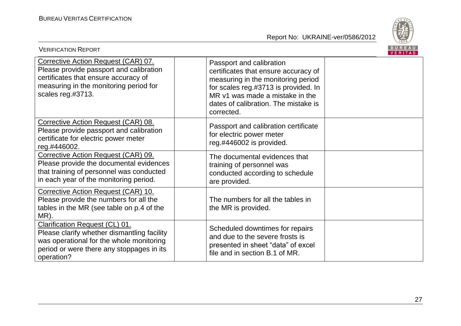

| <b>VERIFICATION REPORT</b>                                                                                                                                                                  |                                                                                                                                                                                                                                         | BUREAU<br><b>VERITAS</b> |
|---------------------------------------------------------------------------------------------------------------------------------------------------------------------------------------------|-----------------------------------------------------------------------------------------------------------------------------------------------------------------------------------------------------------------------------------------|--------------------------|
| Corrective Action Request (CAR) 07.<br>Please provide passport and calibration<br>certificates that ensure accuracy of<br>measuring in the monitoring period for<br>scales reg.#3713.       | Passport and calibration<br>certificates that ensure accuracy of<br>measuring in the monitoring period<br>for scales reg.#3713 is provided. In<br>MR v1 was made a mistake in the<br>dates of calibration. The mistake is<br>corrected. |                          |
| Corrective Action Request (CAR) 08.<br>Please provide passport and calibration<br>certificate for electric power meter<br>reg.#446002.                                                      | Passport and calibration certificate<br>for electric power meter<br>reg.#446002 is provided.                                                                                                                                            |                          |
| Corrective Action Request (CAR) 09.<br>Please provide the documental evidences<br>that training of personnel was conducted<br>in each year of the monitoring period.                        | The documental evidences that<br>training of personnel was<br>conducted according to schedule<br>are provided.                                                                                                                          |                          |
| Corrective Action Request (CAR) 10.<br>Please provide the numbers for all the<br>tables in the MR (see table on p.4 of the<br>MR).                                                          | The numbers for all the tables in<br>the MR is provided.                                                                                                                                                                                |                          |
| <b>Clarification Request (CL) 01.</b><br>Please clarify whether dismantling facility<br>was operational for the whole monitoring<br>period or were there any stoppages in its<br>operation? | Scheduled downtimes for repairs<br>and due to the severe frosts is<br>presented in sheet "data" of excel<br>file and in section B.1 of MR.                                                                                              |                          |